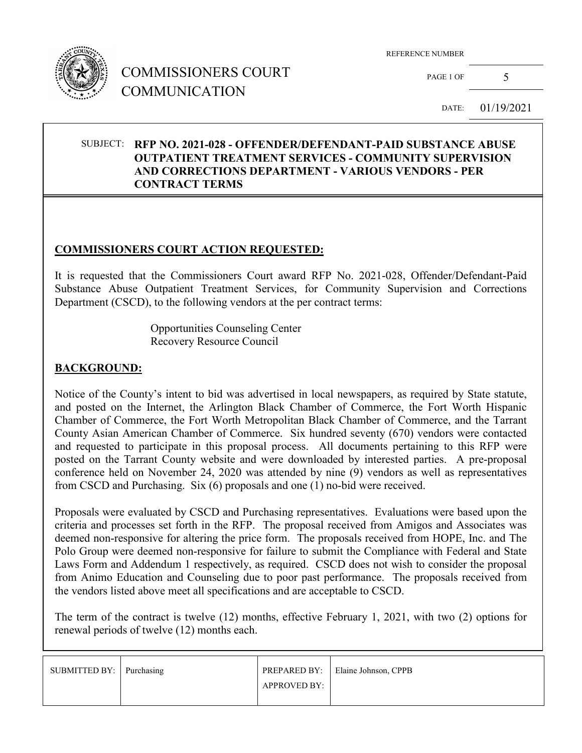

## COMMISSIONERS COURT COMMUNICATION

REFERENCE NUMBER

PAGE 1 OF  $5$ 

DATE: 01/19/2021

#### SUBJECT: **RFP NO. 2021-028 - OFFENDER/DEFENDANT-PAID SUBSTANCE ABUSE OUTPATIENT TREATMENT SERVICES - COMMUNITY SUPERVISION AND CORRECTIONS DEPARTMENT - VARIOUS VENDORS - PER CONTRACT TERMS**

### **COMMISSIONERS COURT ACTION REQUESTED:**

It is requested that the Commissioners Court award RFP No. 2021-028, Offender/Defendant-Paid Substance Abuse Outpatient Treatment Services, for Community Supervision and Corrections Department (CSCD), to the following vendors at the per contract terms:

> Opportunities Counseling Center Recovery Resource Council

### **BACKGROUND:**

Notice of the County's intent to bid was advertised in local newspapers, as required by State statute, and posted on the Internet, the Arlington Black Chamber of Commerce, the Fort Worth Hispanic Chamber of Commerce, the Fort Worth Metropolitan Black Chamber of Commerce, and the Tarrant County Asian American Chamber of Commerce. Six hundred seventy (670) vendors were contacted and requested to participate in this proposal process. All documents pertaining to this RFP were posted on the Tarrant County website and were downloaded by interested parties. A pre-proposal conference held on November 24, 2020 was attended by nine (9) vendors as well as representatives from CSCD and Purchasing. Six (6) proposals and one (1) no-bid were received.

Proposals were evaluated by CSCD and Purchasing representatives. Evaluations were based upon the criteria and processes set forth in the RFP. The proposal received from Amigos and Associates was deemed non-responsive for altering the price form. The proposals received from HOPE, Inc. and The Polo Group were deemed non-responsive for failure to submit the Compliance with Federal and State Laws Form and Addendum 1 respectively, as required. CSCD does not wish to consider the proposal from Animo Education and Counseling due to poor past performance. The proposals received from the vendors listed above meet all specifications and are acceptable to CSCD.

The term of the contract is twelve (12) months, effective February 1, 2021, with two (2) options for renewal periods of twelve (12) months each.

| SUBMITTED BY: Purchasing |                     | PREPARED BY: Elaine Johnson, CPPB |
|--------------------------|---------------------|-----------------------------------|
|                          | <b>APPROVED BY:</b> |                                   |